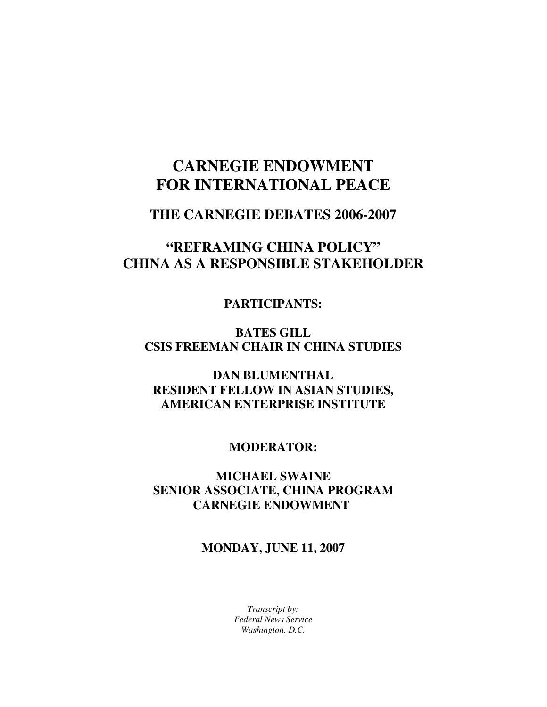## **CARNEGIE ENDOWMENT FOR INTERNATIONAL PEACE**

## **THE CARNEGIE DEBATES 2006-2007**

## **"REFRAMING CHINA POLICY" CHINA AS A RESPONSIBLE STAKEHOLDER**

**PARTICIPANTS:**

**BATES GILL CSIS FREEMAN CHAIR IN CHINA STUDIES**

**DAN BLUMENTHAL RESIDENT FELLOW IN ASIAN STUDIES, AMERICAN ENTERPRISE INSTITUTE**

**MODERATOR:**

**MICHAEL SWAINE SENIOR ASSOCIATE, CHINA PROGRAM CARNEGIE ENDOWMENT**

**MONDAY, JUNE 11, 2007**

*Transcript by: Federal News Service Washington, D.C.*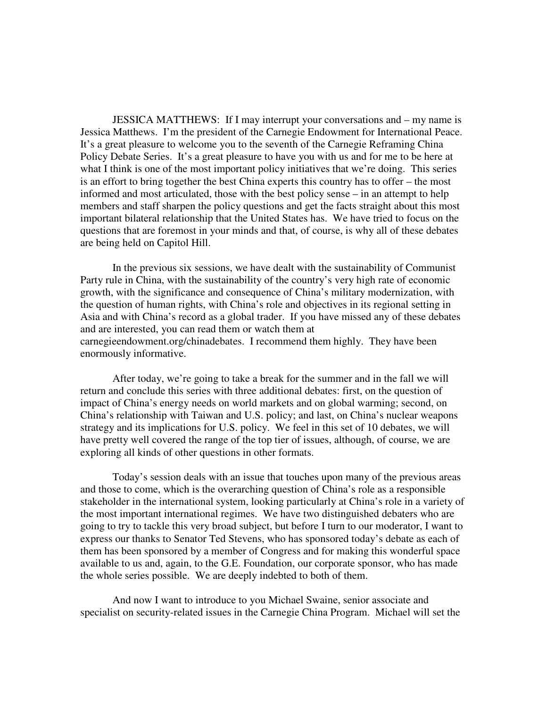JESSICA MATTHEWS: If I may interrupt your conversations and – my name is Jessica Matthews. I'm the president of the Carnegie Endowment for International Peace. It's a great pleasure to welcome you to the seventh of the Carnegie Reframing China Policy Debate Series. It's a great pleasure to have you with us and for me to be here at what I think is one of the most important policy initiatives that we're doing. This series is an effort to bring together the best China experts this country has to offer – the most informed and most articulated, those with the best policy sense – in an attempt to help members and staff sharpen the policy questions and get the facts straight about this most important bilateral relationship that the United States has. We have tried to focus on the questions that are foremost in your minds and that, of course, is why all of these debates are being held on Capitol Hill.

In the previous six sessions, we have dealt with the sustainability of Communist Party rule in China, with the sustainability of the country's very high rate of economic growth, with the significance and consequence of China's military modernization, with the question of human rights, with China's role and objectives in its regional setting in Asia and with China's record as a global trader. If you have missed any of these debates and are interested, you can read them or watch them at carnegieendowment.org/chinadebates. I recommend them highly. They have been enormously informative.

After today, we're going to take a break for the summer and in the fall we will return and conclude this series with three additional debates: first, on the question of impact of China's energy needs on world markets and on global warming; second, on China's relationship with Taiwan and U.S. policy; and last, on China's nuclear weapons strategy and its implications for U.S. policy. We feel in this set of 10 debates, we will have pretty well covered the range of the top tier of issues, although, of course, we are exploring all kinds of other questions in other formats.

Today's session deals with an issue that touches upon many of the previous areas and those to come, which is the overarching question of China's role as a responsible stakeholder in the international system, looking particularly at China's role in a variety of the most important international regimes. We have two distinguished debaters who are going to try to tackle this very broad subject, but before I turn to our moderator, I want to express our thanks to Senator Ted Stevens, who has sponsored today's debate as each of them has been sponsored by a member of Congress and for making this wonderful space available to us and, again, to the G.E. Foundation, our corporate sponsor, who has made the whole series possible. We are deeply indebted to both of them.

And now I want to introduce to you Michael Swaine, senior associate and specialist on security-related issues in the Carnegie China Program. Michael will set the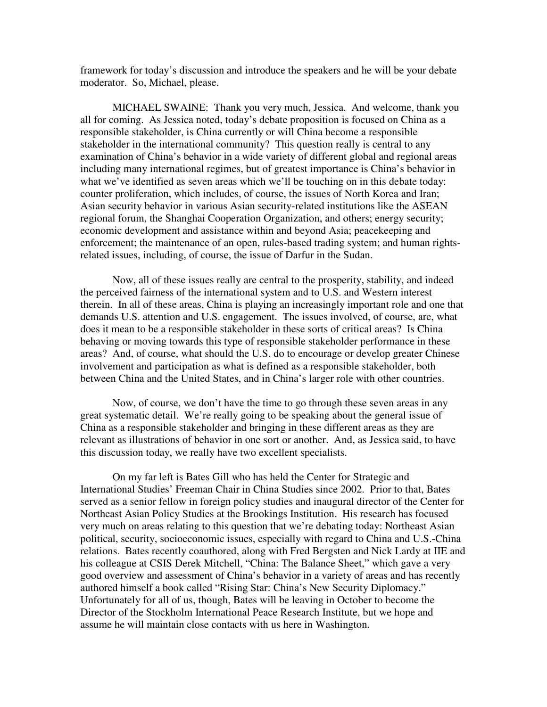framework for today's discussion and introduce the speakers and he will be your debate moderator. So, Michael, please.

MICHAEL SWAINE: Thank you very much, Jessica. And welcome, thank you all for coming. As Jessica noted, today's debate proposition is focused on China as a responsible stakeholder, is China currently or will China become a responsible stakeholder in the international community? This question really is central to any examination of China's behavior in a wide variety of different global and regional areas including many international regimes, but of greatest importance is China's behavior in what we've identified as seven areas which we'll be touching on in this debate today: counter proliferation, which includes, of course, the issues of North Korea and Iran; Asian security behavior in various Asian security-related institutions like the ASEAN regional forum, the Shanghai Cooperation Organization, and others; energy security; economic development and assistance within and beyond Asia; peacekeeping and enforcement; the maintenance of an open, rules-based trading system; and human rightsrelated issues, including, of course, the issue of Darfur in the Sudan.

Now, all of these issues really are central to the prosperity, stability, and indeed the perceived fairness of the international system and to U.S. and Western interest therein. In all of these areas, China is playing an increasingly important role and one that demands U.S. attention and U.S. engagement. The issues involved, of course, are, what does it mean to be a responsible stakeholder in these sorts of critical areas? Is China behaving or moving towards this type of responsible stakeholder performance in these areas? And, of course, what should the U.S. do to encourage or develop greater Chinese involvement and participation as what is defined as a responsible stakeholder, both between China and the United States, and in China's larger role with other countries.

Now, of course, we don't have the time to go through these seven areas in any great systematic detail. We're really going to be speaking about the general issue of China as a responsible stakeholder and bringing in these different areas as they are relevant as illustrations of behavior in one sort or another. And, as Jessica said, to have this discussion today, we really have two excellent specialists.

On my far left is Bates Gill who has held the Center for Strategic and International Studies' Freeman Chair in China Studies since 2002. Prior to that, Bates served as a senior fellow in foreign policy studies and inaugural director of the Center for Northeast Asian Policy Studies at the Brookings Institution. His research has focused very much on areas relating to this question that we're debating today: Northeast Asian political, security, socioeconomic issues, especially with regard to China and U.S.-China relations. Bates recently coauthored, along with Fred Bergsten and Nick Lardy at IIE and his colleague at CSIS Derek Mitchell, "China: The Balance Sheet," which gave a very good overview and assessment of China's behavior in a variety of areas and has recently authored himself a book called "Rising Star: China's New Security Diplomacy." Unfortunately for all of us, though, Bates will be leaving in October to become the Director of the Stockholm International Peace Research Institute, but we hope and assume he will maintain close contacts with us here in Washington.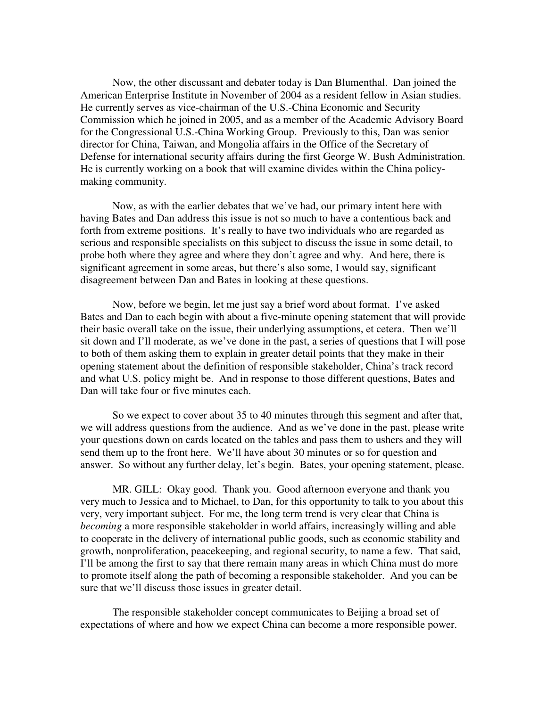Now, the other discussant and debater today is Dan Blumenthal. Dan joined the American Enterprise Institute in November of 2004 as a resident fellow in Asian studies. He currently serves as vice-chairman of the U.S.-China Economic and Security Commission which he joined in 2005, and as a member of the Academic Advisory Board for the Congressional U.S.-China Working Group. Previously to this, Dan was senior director for China, Taiwan, and Mongolia affairs in the Office of the Secretary of Defense for international security affairs during the first George W. Bush Administration. He is currently working on a book that will examine divides within the China policymaking community.

Now, as with the earlier debates that we've had, our primary intent here with having Bates and Dan address this issue is not so much to have a contentious back and forth from extreme positions. It's really to have two individuals who are regarded as serious and responsible specialists on this subject to discuss the issue in some detail, to probe both where they agree and where they don't agree and why. And here, there is significant agreement in some areas, but there's also some, I would say, significant disagreement between Dan and Bates in looking at these questions.

Now, before we begin, let me just say a brief word about format. I've asked Bates and Dan to each begin with about a five-minute opening statement that will provide their basic overall take on the issue, their underlying assumptions, et cetera. Then we'll sit down and I'll moderate, as we've done in the past, a series of questions that I will pose to both of them asking them to explain in greater detail points that they make in their opening statement about the definition of responsible stakeholder, China's track record and what U.S. policy might be. And in response to those different questions, Bates and Dan will take four or five minutes each.

So we expect to cover about 35 to 40 minutes through this segment and after that, we will address questions from the audience. And as we've done in the past, please write your questions down on cards located on the tables and pass them to ushers and they will send them up to the front here. We'll have about 30 minutes or so for question and answer. So without any further delay, let's begin. Bates, your opening statement, please.

MR. GILL: Okay good. Thank you. Good afternoon everyone and thank you very much to Jessica and to Michael, to Dan, for this opportunity to talk to you about this very, very important subject. For me, the long term trend is very clear that China is *becoming* a more responsible stakeholder in world affairs, increasingly willing and able to cooperate in the delivery of international public goods, such as economic stability and growth, nonproliferation, peacekeeping, and regional security, to name a few. That said, I'll be among the first to say that there remain many areas in which China must do more to promote itself along the path of becoming a responsible stakeholder. And you can be sure that we'll discuss those issues in greater detail.

The responsible stakeholder concept communicates to Beijing a broad set of expectations of where and how we expect China can become a more responsible power.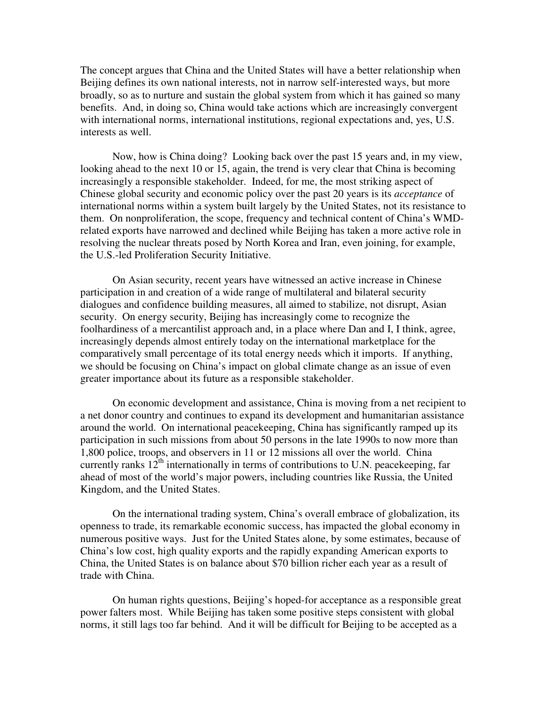The concept argues that China and the United States will have a better relationship when Beijing defines its own national interests, not in narrow self-interested ways, but more broadly, so as to nurture and sustain the global system from which it has gained so many benefits. And, in doing so, China would take actions which are increasingly convergent with international norms, international institutions, regional expectations and, yes, U.S. interests as well.

Now, how is China doing? Looking back over the past 15 years and, in my view, looking ahead to the next 10 or 15, again, the trend is very clear that China is becoming increasingly a responsible stakeholder. Indeed, for me, the most striking aspect of Chinese global security and economic policy over the past 20 years is its *acceptance* of international norms within a system built largely by the United States, not its resistance to them. On nonproliferation, the scope, frequency and technical content of China's WMDrelated exports have narrowed and declined while Beijing has taken a more active role in resolving the nuclear threats posed by North Korea and Iran, even joining, for example, the U.S.-led Proliferation Security Initiative.

On Asian security, recent years have witnessed an active increase in Chinese participation in and creation of a wide range of multilateral and bilateral security dialogues and confidence building measures, all aimed to stabilize, not disrupt, Asian security. On energy security, Beijing has increasingly come to recognize the foolhardiness of a mercantilist approach and, in a place where Dan and I, I think, agree, increasingly depends almost entirely today on the international marketplace for the comparatively small percentage of its total energy needs which it imports. If anything, we should be focusing on China's impact on global climate change as an issue of even greater importance about its future as a responsible stakeholder.

On economic development and assistance, China is moving from a net recipient to a net donor country and continues to expand its development and humanitarian assistance around the world. On international peacekeeping, China has significantly ramped up its participation in such missions from about 50 persons in the late 1990s to now more than 1,800 police, troops, and observers in 11 or 12 missions all over the world. China currently ranks  $12^{th}$  internationally in terms of contributions to U.N. peacekeeping, far ahead of most of the world's major powers, including countries like Russia, the United Kingdom, and the United States.

On the international trading system, China's overall embrace of globalization, its openness to trade, its remarkable economic success, has impacted the global economy in numerous positive ways. Just for the United States alone, by some estimates, because of China's low cost, high quality exports and the rapidly expanding American exports to China, the United States is on balance about \$70 billion richer each year as a result of trade with China.

On human rights questions, Beijing's hoped-for acceptance as a responsible great power falters most. While Beijing has taken some positive steps consistent with global norms, it still lags too far behind. And it will be difficult for Beijing to be accepted as a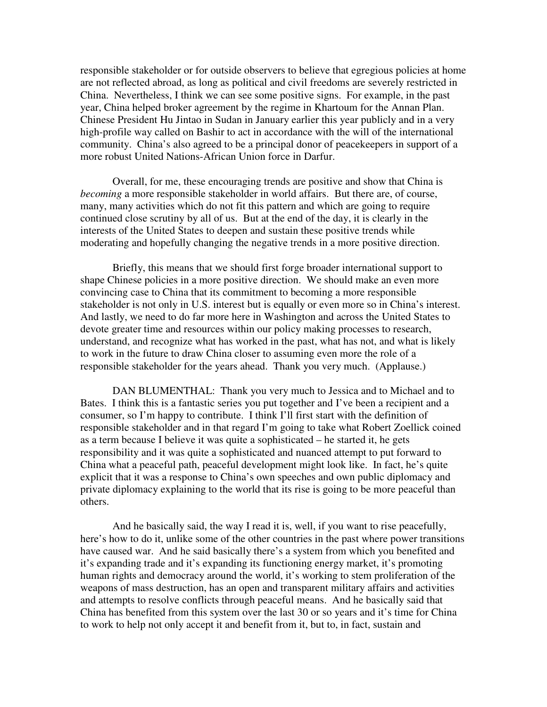responsible stakeholder or for outside observers to believe that egregious policies at home are not reflected abroad, as long as political and civil freedoms are severely restricted in China. Nevertheless, I think we can see some positive signs. For example, in the past year, China helped broker agreement by the regime in Khartoum for the Annan Plan. Chinese President Hu Jintao in Sudan in January earlier this year publicly and in a very high-profile way called on Bashir to act in accordance with the will of the international community. China's also agreed to be a principal donor of peacekeepers in support of a more robust United Nations-African Union force in Darfur.

Overall, for me, these encouraging trends are positive and show that China is *becoming* a more responsible stakeholder in world affairs. But there are, of course, many, many activities which do not fit this pattern and which are going to require continued close scrutiny by all of us. But at the end of the day, it is clearly in the interests of the United States to deepen and sustain these positive trends while moderating and hopefully changing the negative trends in a more positive direction.

Briefly, this means that we should first forge broader international support to shape Chinese policies in a more positive direction. We should make an even more convincing case to China that its commitment to becoming a more responsible stakeholder is not only in U.S. interest but is equally or even more so in China's interest. And lastly, we need to do far more here in Washington and across the United States to devote greater time and resources within our policy making processes to research, understand, and recognize what has worked in the past, what has not, and what is likely to work in the future to draw China closer to assuming even more the role of a responsible stakeholder for the years ahead. Thank you very much. (Applause.)

DAN BLUMENTHAL: Thank you very much to Jessica and to Michael and to Bates. I think this is a fantastic series you put together and I've been a recipient and a consumer, so I'm happy to contribute. I think I'll first start with the definition of responsible stakeholder and in that regard I'm going to take what Robert Zoellick coined as a term because I believe it was quite a sophisticated – he started it, he gets responsibility and it was quite a sophisticated and nuanced attempt to put forward to China what a peaceful path, peaceful development might look like. In fact, he's quite explicit that it was a response to China's own speeches and own public diplomacy and private diplomacy explaining to the world that its rise is going to be more peaceful than others.

And he basically said, the way I read it is, well, if you want to rise peacefully, here's how to do it, unlike some of the other countries in the past where power transitions have caused war. And he said basically there's a system from which you benefited and it's expanding trade and it's expanding its functioning energy market, it's promoting human rights and democracy around the world, it's working to stem proliferation of the weapons of mass destruction, has an open and transparent military affairs and activities and attempts to resolve conflicts through peaceful means. And he basically said that China has benefited from this system over the last 30 or so years and it's time for China to work to help not only accept it and benefit from it, but to, in fact, sustain and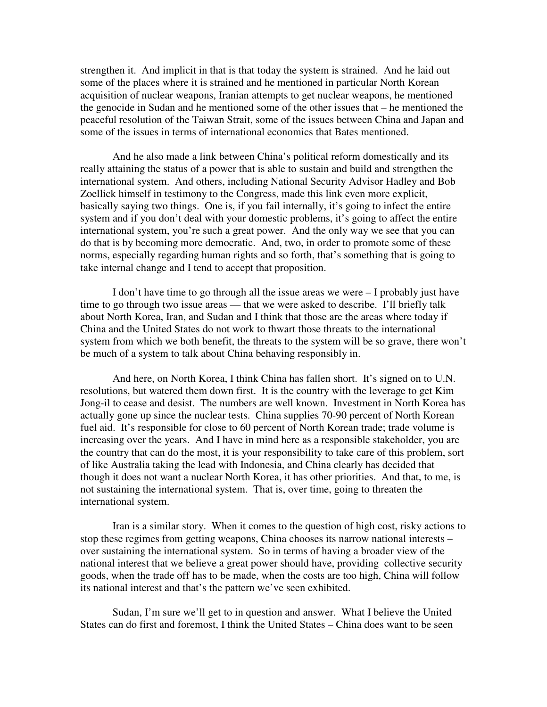strengthen it. And implicit in that is that today the system is strained. And he laid out some of the places where it is strained and he mentioned in particular North Korean acquisition of nuclear weapons, Iranian attempts to get nuclear weapons, he mentioned the genocide in Sudan and he mentioned some of the other issues that – he mentioned the peaceful resolution of the Taiwan Strait, some of the issues between China and Japan and some of the issues in terms of international economics that Bates mentioned.

And he also made a link between China's political reform domestically and its really attaining the status of a power that is able to sustain and build and strengthen the international system. And others, including National Security Advisor Hadley and Bob Zoellick himself in testimony to the Congress, made this link even more explicit, basically saying two things. One is, if you fail internally, it's going to infect the entire system and if you don't deal with your domestic problems, it's going to affect the entire international system, you're such a great power. And the only way we see that you can do that is by becoming more democratic. And, two, in order to promote some of these norms, especially regarding human rights and so forth, that's something that is going to take internal change and I tend to accept that proposition.

I don't have time to go through all the issue areas we were – I probably just have time to go through two issue areas — that we were asked to describe. I'll briefly talk about North Korea, Iran, and Sudan and I think that those are the areas where today if China and the United States do not work to thwart those threats to the international system from which we both benefit, the threats to the system will be so grave, there won't be much of a system to talk about China behaving responsibly in.

And here, on North Korea, I think China has fallen short. It's signed on to U.N. resolutions, but watered them down first. It is the country with the leverage to get Kim Jong-il to cease and desist. The numbers are well known. Investment in North Korea has actually gone up since the nuclear tests. China supplies 70-90 percent of North Korean fuel aid. It's responsible for close to 60 percent of North Korean trade; trade volume is increasing over the years. And I have in mind here as a responsible stakeholder, you are the country that can do the most, it is your responsibility to take care of this problem, sort of like Australia taking the lead with Indonesia, and China clearly has decided that though it does not want a nuclear North Korea, it has other priorities. And that, to me, is not sustaining the international system. That is, over time, going to threaten the international system.

Iran is a similar story. When it comes to the question of high cost, risky actions to stop these regimes from getting weapons, China chooses its narrow national interests – over sustaining the international system. So in terms of having a broader view of the national interest that we believe a great power should have, providing collective security goods, when the trade off has to be made, when the costs are too high, China will follow its national interest and that's the pattern we've seen exhibited.

Sudan, I'm sure we'll get to in question and answer. What I believe the United States can do first and foremost, I think the United States – China does want to be seen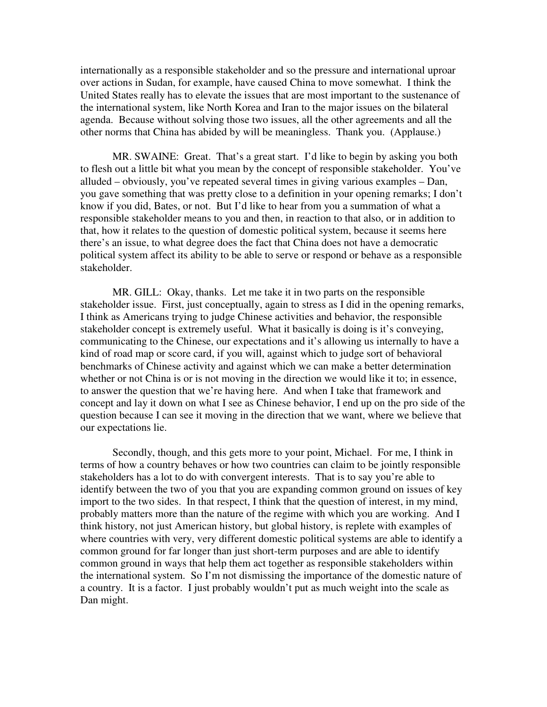internationally as a responsible stakeholder and so the pressure and international uproar over actions in Sudan, for example, have caused China to move somewhat. I think the United States really has to elevate the issues that are most important to the sustenance of the international system, like North Korea and Iran to the major issues on the bilateral agenda. Because without solving those two issues, all the other agreements and all the other norms that China has abided by will be meaningless. Thank you. (Applause.)

MR. SWAINE: Great. That's a great start. I'd like to begin by asking you both to flesh out a little bit what you mean by the concept of responsible stakeholder. You've alluded – obviously, you've repeated several times in giving various examples – Dan, you gave something that was pretty close to a definition in your opening remarks; I don't know if you did, Bates, or not. But I'd like to hear from you a summation of what a responsible stakeholder means to you and then, in reaction to that also, or in addition to that, how it relates to the question of domestic political system, because it seems here there's an issue, to what degree does the fact that China does not have a democratic political system affect its ability to be able to serve or respond or behave as a responsible stakeholder.

MR. GILL: Okay, thanks. Let me take it in two parts on the responsible stakeholder issue. First, just conceptually, again to stress as I did in the opening remarks, I think as Americans trying to judge Chinese activities and behavior, the responsible stakeholder concept is extremely useful. What it basically is doing is it's conveying, communicating to the Chinese, our expectations and it's allowing us internally to have a kind of road map or score card, if you will, against which to judge sort of behavioral benchmarks of Chinese activity and against which we can make a better determination whether or not China is or is not moving in the direction we would like it to; in essence, to answer the question that we're having here. And when I take that framework and concept and lay it down on what I see as Chinese behavior, I end up on the pro side of the question because I can see it moving in the direction that we want, where we believe that our expectations lie.

Secondly, though, and this gets more to your point, Michael. For me, I think in terms of how a country behaves or how two countries can claim to be jointly responsible stakeholders has a lot to do with convergent interests. That is to say you're able to identify between the two of you that you are expanding common ground on issues of key import to the two sides. In that respect, I think that the question of interest, in my mind, probably matters more than the nature of the regime with which you are working. And I think history, not just American history, but global history, is replete with examples of where countries with very, very different domestic political systems are able to identify a common ground for far longer than just short-term purposes and are able to identify common ground in ways that help them act together as responsible stakeholders within the international system. So I'm not dismissing the importance of the domestic nature of a country. It is a factor. I just probably wouldn't put as much weight into the scale as Dan might.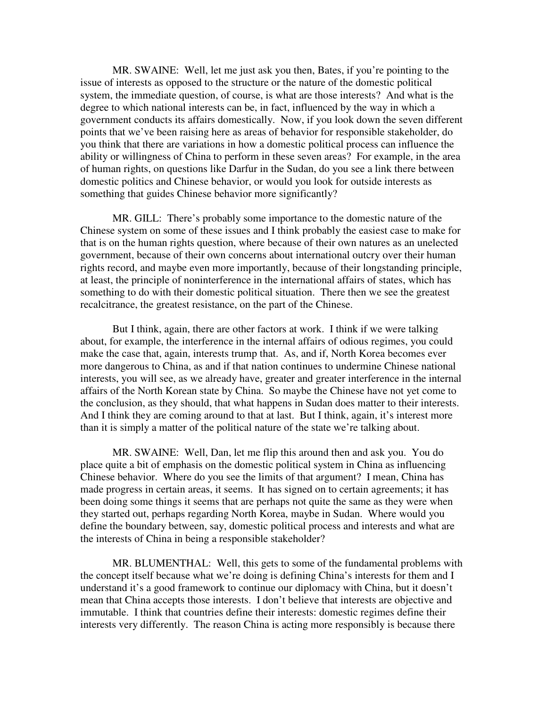MR. SWAINE: Well, let me just ask you then, Bates, if you're pointing to the issue of interests as opposed to the structure or the nature of the domestic political system, the immediate question, of course, is what are those interests? And what is the degree to which national interests can be, in fact, influenced by the way in which a government conducts its affairs domestically. Now, if you look down the seven different points that we've been raising here as areas of behavior for responsible stakeholder, do you think that there are variations in how a domestic political process can influence the ability or willingness of China to perform in these seven areas? For example, in the area of human rights, on questions like Darfur in the Sudan, do you see a link there between domestic politics and Chinese behavior, or would you look for outside interests as something that guides Chinese behavior more significantly?

MR. GILL: There's probably some importance to the domestic nature of the Chinese system on some of these issues and I think probably the easiest case to make for that is on the human rights question, where because of their own natures as an unelected government, because of their own concerns about international outcry over their human rights record, and maybe even more importantly, because of their longstanding principle, at least, the principle of noninterference in the international affairs of states, which has something to do with their domestic political situation. There then we see the greatest recalcitrance, the greatest resistance, on the part of the Chinese.

But I think, again, there are other factors at work. I think if we were talking about, for example, the interference in the internal affairs of odious regimes, you could make the case that, again, interests trump that. As, and if, North Korea becomes ever more dangerous to China, as and if that nation continues to undermine Chinese national interests, you will see, as we already have, greater and greater interference in the internal affairs of the North Korean state by China. So maybe the Chinese have not yet come to the conclusion, as they should, that what happens in Sudan does matter to their interests. And I think they are coming around to that at last. But I think, again, it's interest more than it is simply a matter of the political nature of the state we're talking about.

MR. SWAINE: Well, Dan, let me flip this around then and ask you. You do place quite a bit of emphasis on the domestic political system in China as influencing Chinese behavior. Where do you see the limits of that argument? I mean, China has made progress in certain areas, it seems. It has signed on to certain agreements; it has been doing some things it seems that are perhaps not quite the same as they were when they started out, perhaps regarding North Korea, maybe in Sudan. Where would you define the boundary between, say, domestic political process and interests and what are the interests of China in being a responsible stakeholder?

MR. BLUMENTHAL: Well, this gets to some of the fundamental problems with the concept itself because what we're doing is defining China's interests for them and I understand it's a good framework to continue our diplomacy with China, but it doesn't mean that China accepts those interests. I don't believe that interests are objective and immutable. I think that countries define their interests: domestic regimes define their interests very differently. The reason China is acting more responsibly is because there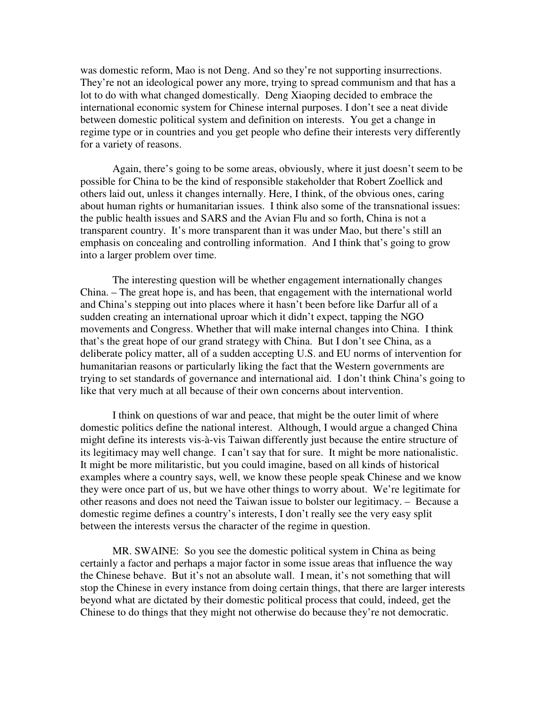was domestic reform, Mao is not Deng. And so they're not supporting insurrections. They're not an ideological power any more, trying to spread communism and that has a lot to do with what changed domestically. Deng Xiaoping decided to embrace the international economic system for Chinese internal purposes. I don't see a neat divide between domestic political system and definition on interests. You get a change in regime type or in countries and you get people who define their interests very differently for a variety of reasons.

Again, there's going to be some areas, obviously, where it just doesn't seem to be possible for China to be the kind of responsible stakeholder that Robert Zoellick and others laid out, unless it changes internally. Here, I think, of the obvious ones, caring about human rights or humanitarian issues. I think also some of the transnational issues: the public health issues and SARS and the Avian Flu and so forth, China is not a transparent country. It's more transparent than it was under Mao, but there's still an emphasis on concealing and controlling information. And I think that's going to grow into a larger problem over time.

The interesting question will be whether engagement internationally changes China. – The great hope is, and has been, that engagement with the international world and China's stepping out into places where it hasn't been before like Darfur all of a sudden creating an international uproar which it didn't expect, tapping the NGO movements and Congress. Whether that will make internal changes into China. I think that's the great hope of our grand strategy with China. But I don't see China, as a deliberate policy matter, all of a sudden accepting U.S. and EU norms of intervention for humanitarian reasons or particularly liking the fact that the Western governments are trying to set standards of governance and international aid. I don't think China's going to like that very much at all because of their own concerns about intervention.

I think on questions of war and peace, that might be the outer limit of where domestic politics define the national interest. Although, I would argue a changed China might define its interests vis-à-vis Taiwan differently just because the entire structure of its legitimacy may well change. I can't say that for sure. It might be more nationalistic. It might be more militaristic, but you could imagine, based on all kinds of historical examples where a country says, well, we know these people speak Chinese and we know they were once part of us, but we have other things to worry about. We're legitimate for other reasons and does not need the Taiwan issue to bolster our legitimacy. – Because a domestic regime defines a country's interests, I don't really see the very easy split between the interests versus the character of the regime in question.

MR. SWAINE: So you see the domestic political system in China as being certainly a factor and perhaps a major factor in some issue areas that influence the way the Chinese behave. But it's not an absolute wall. I mean, it's not something that will stop the Chinese in every instance from doing certain things, that there are larger interests beyond what are dictated by their domestic political process that could, indeed, get the Chinese to do things that they might not otherwise do because they're not democratic.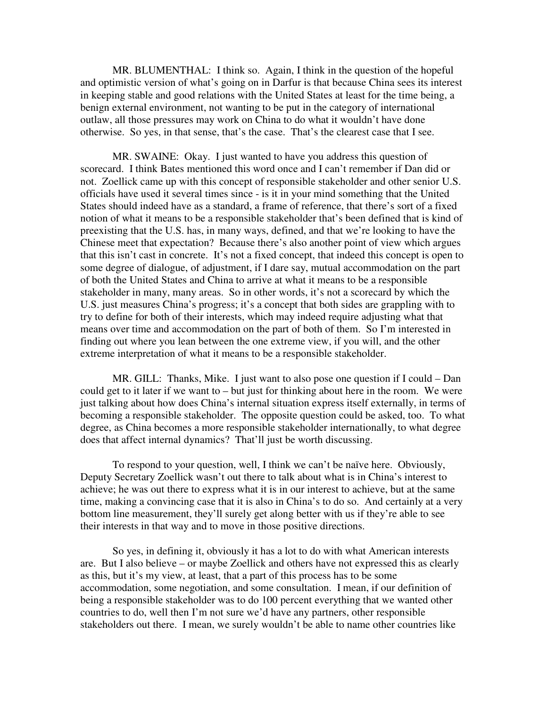MR. BLUMENTHAL: I think so. Again, I think in the question of the hopeful and optimistic version of what's going on in Darfur is that because China sees its interest in keeping stable and good relations with the United States at least for the time being, a benign external environment, not wanting to be put in the category of international outlaw, all those pressures may work on China to do what it wouldn't have done otherwise. So yes, in that sense, that's the case. That's the clearest case that I see.

MR. SWAINE: Okay. I just wanted to have you address this question of scorecard. I think Bates mentioned this word once and I can't remember if Dan did or not. Zoellick came up with this concept of responsible stakeholder and other senior U.S. officials have used it several times since - is it in your mind something that the United States should indeed have as a standard, a frame of reference, that there's sort of a fixed notion of what it means to be a responsible stakeholder that's been defined that is kind of preexisting that the U.S. has, in many ways, defined, and that we're looking to have the Chinese meet that expectation? Because there's also another point of view which argues that this isn't cast in concrete. It's not a fixed concept, that indeed this concept is open to some degree of dialogue, of adjustment, if I dare say, mutual accommodation on the part of both the United States and China to arrive at what it means to be a responsible stakeholder in many, many areas. So in other words, it's not a scorecard by which the U.S. just measures China's progress; it's a concept that both sides are grappling with to try to define for both of their interests, which may indeed require adjusting what that means over time and accommodation on the part of both of them. So I'm interested in finding out where you lean between the one extreme view, if you will, and the other extreme interpretation of what it means to be a responsible stakeholder.

MR. GILL: Thanks, Mike. I just want to also pose one question if I could – Dan could get to it later if we want to – but just for thinking about here in the room. We were just talking about how does China's internal situation express itself externally, in terms of becoming a responsible stakeholder. The opposite question could be asked, too. To what degree, as China becomes a more responsible stakeholder internationally, to what degree does that affect internal dynamics? That'll just be worth discussing.

To respond to your question, well, I think we can't be naïve here. Obviously, Deputy Secretary Zoellick wasn't out there to talk about what is in China's interest to achieve; he was out there to express what it is in our interest to achieve, but at the same time, making a convincing case that it is also in China's to do so. And certainly at a very bottom line measurement, they'll surely get along better with us if they're able to see their interests in that way and to move in those positive directions.

So yes, in defining it, obviously it has a lot to do with what American interests are. But I also believe – or maybe Zoellick and others have not expressed this as clearly as this, but it's my view, at least, that a part of this process has to be some accommodation, some negotiation, and some consultation. I mean, if our definition of being a responsible stakeholder was to do 100 percent everything that we wanted other countries to do, well then I'm not sure we'd have any partners, other responsible stakeholders out there. I mean, we surely wouldn't be able to name other countries like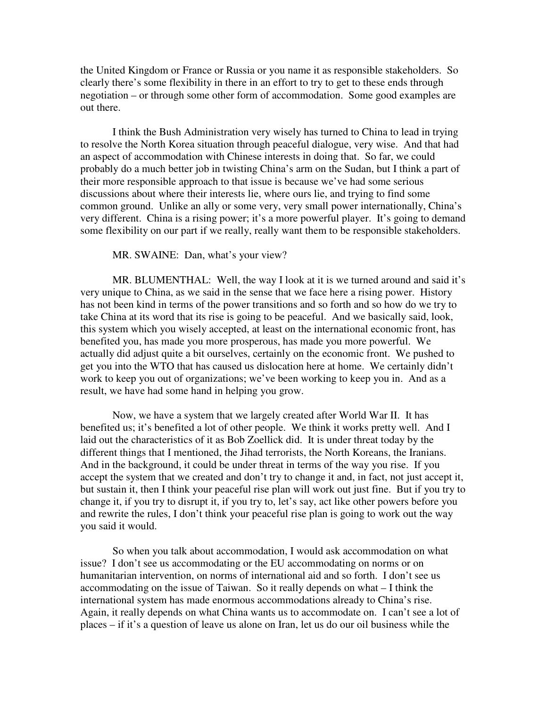the United Kingdom or France or Russia or you name it as responsible stakeholders. So clearly there's some flexibility in there in an effort to try to get to these ends through negotiation – or through some other form of accommodation. Some good examples are out there.

I think the Bush Administration very wisely has turned to China to lead in trying to resolve the North Korea situation through peaceful dialogue, very wise. And that had an aspect of accommodation with Chinese interests in doing that. So far, we could probably do a much better job in twisting China's arm on the Sudan, but I think a part of their more responsible approach to that issue is because we've had some serious discussions about where their interests lie, where ours lie, and trying to find some common ground. Unlike an ally or some very, very small power internationally, China's very different. China is a rising power; it's a more powerful player. It's going to demand some flexibility on our part if we really, really want them to be responsible stakeholders.

MR. SWAINE: Dan, what's your view?

MR. BLUMENTHAL: Well, the way I look at it is we turned around and said it's very unique to China, as we said in the sense that we face here a rising power. History has not been kind in terms of the power transitions and so forth and so how do we try to take China at its word that its rise is going to be peaceful. And we basically said, look, this system which you wisely accepted, at least on the international economic front, has benefited you, has made you more prosperous, has made you more powerful. We actually did adjust quite a bit ourselves, certainly on the economic front. We pushed to get you into the WTO that has caused us dislocation here at home. We certainly didn't work to keep you out of organizations; we've been working to keep you in. And as a result, we have had some hand in helping you grow.

Now, we have a system that we largely created after World War II. It has benefited us; it's benefited a lot of other people. We think it works pretty well. And I laid out the characteristics of it as Bob Zoellick did. It is under threat today by the different things that I mentioned, the Jihad terrorists, the North Koreans, the Iranians. And in the background, it could be under threat in terms of the way you rise. If you accept the system that we created and don't try to change it and, in fact, not just accept it, but sustain it, then I think your peaceful rise plan will work out just fine. But if you try to change it, if you try to disrupt it, if you try to, let's say, act like other powers before you and rewrite the rules, I don't think your peaceful rise plan is going to work out the way you said it would.

So when you talk about accommodation, I would ask accommodation on what issue? I don't see us accommodating or the EU accommodating on norms or on humanitarian intervention, on norms of international aid and so forth. I don't see us accommodating on the issue of Taiwan. So it really depends on what – I think the international system has made enormous accommodations already to China's rise. Again, it really depends on what China wants us to accommodate on. I can't see a lot of places – if it's a question of leave us alone on Iran, let us do our oil business while the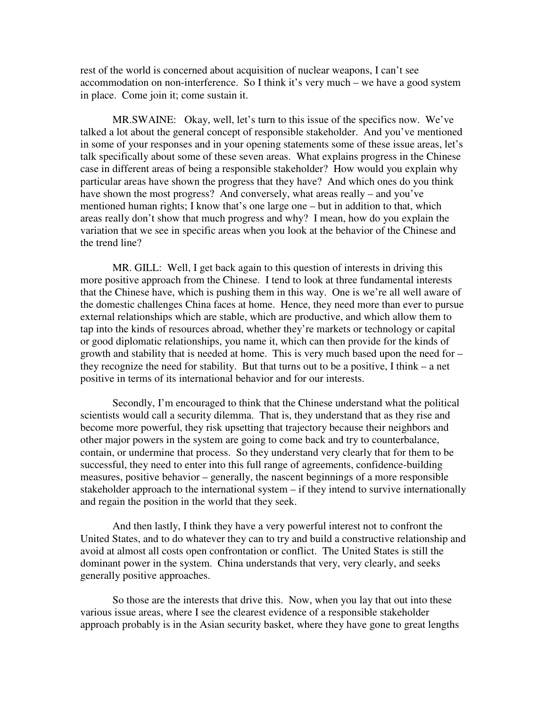rest of the world is concerned about acquisition of nuclear weapons, I can't see accommodation on non-interference. So I think it's very much – we have a good system in place. Come join it; come sustain it.

MR.SWAINE: Okay, well, let's turn to this issue of the specifics now. We've talked a lot about the general concept of responsible stakeholder. And you've mentioned in some of your responses and in your opening statements some of these issue areas, let's talk specifically about some of these seven areas. What explains progress in the Chinese case in different areas of being a responsible stakeholder? How would you explain why particular areas have shown the progress that they have? And which ones do you think have shown the most progress? And conversely, what areas really – and you've mentioned human rights; I know that's one large one – but in addition to that, which areas really don't show that much progress and why? I mean, how do you explain the variation that we see in specific areas when you look at the behavior of the Chinese and the trend line?

MR. GILL: Well, I get back again to this question of interests in driving this more positive approach from the Chinese. I tend to look at three fundamental interests that the Chinese have, which is pushing them in this way. One is we're all well aware of the domestic challenges China faces at home. Hence, they need more than ever to pursue external relationships which are stable, which are productive, and which allow them to tap into the kinds of resources abroad, whether they're markets or technology or capital or good diplomatic relationships, you name it, which can then provide for the kinds of growth and stability that is needed at home. This is very much based upon the need for – they recognize the need for stability. But that turns out to be a positive, I think – a net positive in terms of its international behavior and for our interests.

Secondly, I'm encouraged to think that the Chinese understand what the political scientists would call a security dilemma. That is, they understand that as they rise and become more powerful, they risk upsetting that trajectory because their neighbors and other major powers in the system are going to come back and try to counterbalance, contain, or undermine that process. So they understand very clearly that for them to be successful, they need to enter into this full range of agreements, confidence-building measures, positive behavior – generally, the nascent beginnings of a more responsible stakeholder approach to the international system – if they intend to survive internationally and regain the position in the world that they seek.

And then lastly, I think they have a very powerful interest not to confront the United States, and to do whatever they can to try and build a constructive relationship and avoid at almost all costs open confrontation or conflict. The United States is still the dominant power in the system. China understands that very, very clearly, and seeks generally positive approaches.

So those are the interests that drive this. Now, when you lay that out into these various issue areas, where I see the clearest evidence of a responsible stakeholder approach probably is in the Asian security basket, where they have gone to great lengths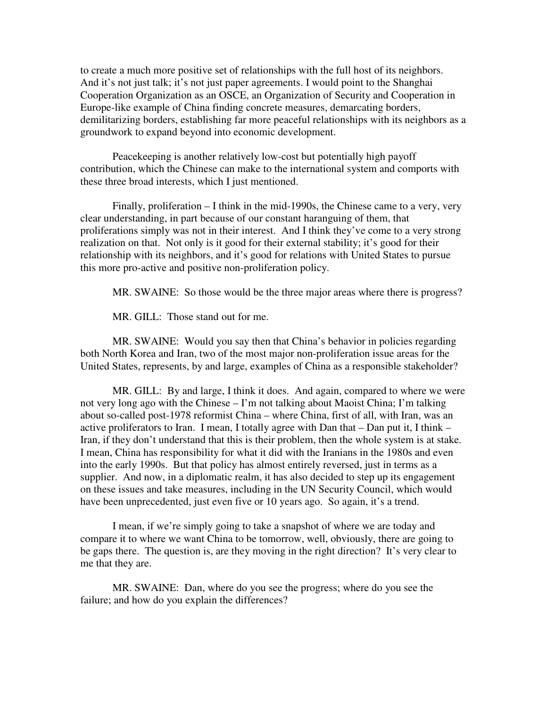to create a much more positive set of relationships with the full host of its neighbors. And it's not just talk; it's not just paper agreements. I would point to the Shanghai Cooperation Organization as an OSCE, an Organization of Security and Cooperation in Europe-like example of China finding concrete measures, demarcating borders, demilitarizing borders, establishing far more peaceful relationships with its neighbors as a groundwork to expand beyond into economic development.

Peacekeeping is another relatively low-cost but potentially high payoff contribution, which the Chinese can make to the international system and comports with these three broad interests, which I just mentioned.

Finally, proliferation – I think in the mid-1990s, the Chinese came to a very, very clear understanding, in part because of our constant haranguing of them, that proliferations simply was not in their interest. And I think they've come to a very strong realization on that. Not only is it good for their external stability; it's good for their relationship with its neighbors, and it's good for relations with United States to pursue this more pro-active and positive non-proliferation policy.

MR. SWAINE: So those would be the three major areas where there is progress?

MR. GILL: Those stand out for me.

MR. SWAINE: Would you say then that China's behavior in policies regarding both North Korea and Iran, two of the most major non-proliferation issue areas for the United States, represents, by and large, examples of China as a responsible stakeholder?

MR. GILL: By and large, I think it does. And again, compared to where we were not very long ago with the Chinese – I'm not talking about Maoist China; I'm talking about so-called post-1978 reformist China – where China, first of all, with Iran, was an active proliferators to Iran. I mean, I totally agree with Dan that – Dan put it, I think – Iran, if they don't understand that this is their problem, then the whole system is at stake. I mean, China has responsibility for what it did with the Iranians in the 1980s and even into the early 1990s. But that policy has almost entirely reversed, just in terms as a supplier. And now, in a diplomatic realm, it has also decided to step up its engagement on these issues and take measures, including in the UN Security Council, which would have been unprecedented, just even five or 10 years ago. So again, it's a trend.

I mean, if we're simply going to take a snapshot of where we are today and compare it to where we want China to be tomorrow, well, obviously, there are going to be gaps there. The question is, are they moving in the right direction? It's very clear to me that they are.

MR. SWAINE: Dan, where do you see the progress; where do you see the failure; and how do you explain the differences?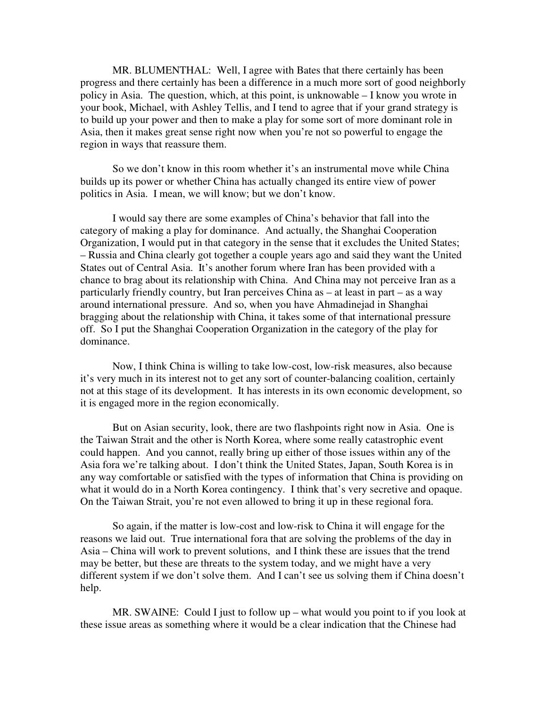MR. BLUMENTHAL: Well, I agree with Bates that there certainly has been progress and there certainly has been a difference in a much more sort of good neighborly policy in Asia. The question, which, at this point, is unknowable – I know you wrote in your book, Michael, with Ashley Tellis, and I tend to agree that if your grand strategy is to build up your power and then to make a play for some sort of more dominant role in Asia, then it makes great sense right now when you're not so powerful to engage the region in ways that reassure them.

So we don't know in this room whether it's an instrumental move while China builds up its power or whether China has actually changed its entire view of power politics in Asia. I mean, we will know; but we don't know.

I would say there are some examples of China's behavior that fall into the category of making a play for dominance. And actually, the Shanghai Cooperation Organization, I would put in that category in the sense that it excludes the United States; – Russia and China clearly got together a couple years ago and said they want the United States out of Central Asia. It's another forum where Iran has been provided with a chance to brag about its relationship with China. And China may not perceive Iran as a particularly friendly country, but Iran perceives China as – at least in part – as a way around international pressure. And so, when you have Ahmadinejad in Shanghai bragging about the relationship with China, it takes some of that international pressure off. So I put the Shanghai Cooperation Organization in the category of the play for dominance.

Now, I think China is willing to take low-cost, low-risk measures, also because it's very much in its interest not to get any sort of counter-balancing coalition, certainly not at this stage of its development. It has interests in its own economic development, so it is engaged more in the region economically.

But on Asian security, look, there are two flashpoints right now in Asia. One is the Taiwan Strait and the other is North Korea, where some really catastrophic event could happen. And you cannot, really bring up either of those issues within any of the Asia fora we're talking about. I don't think the United States, Japan, South Korea is in any way comfortable or satisfied with the types of information that China is providing on what it would do in a North Korea contingency. I think that's very secretive and opaque. On the Taiwan Strait, you're not even allowed to bring it up in these regional fora.

So again, if the matter is low-cost and low-risk to China it will engage for the reasons we laid out. True international fora that are solving the problems of the day in Asia – China will work to prevent solutions, and I think these are issues that the trend may be better, but these are threats to the system today, and we might have a very different system if we don't solve them. And I can't see us solving them if China doesn't help.

MR. SWAINE: Could I just to follow up – what would you point to if you look at these issue areas as something where it would be a clear indication that the Chinese had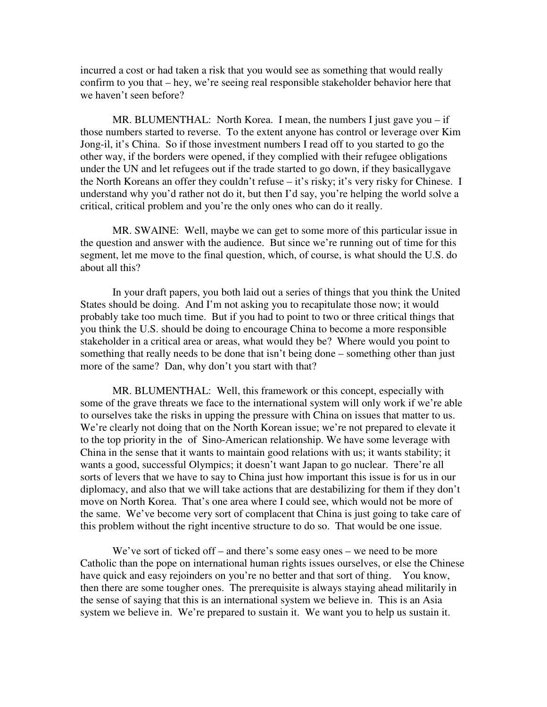incurred a cost or had taken a risk that you would see as something that would really confirm to you that – hey, we're seeing real responsible stakeholder behavior here that we haven't seen before?

MR. BLUMENTHAL: North Korea. I mean, the numbers I just gave you  $-$  if those numbers started to reverse. To the extent anyone has control or leverage over Kim Jong-il, it's China. So if those investment numbers I read off to you started to go the other way, if the borders were opened, if they complied with their refugee obligations under the UN and let refugees out if the trade started to go down, if they basicallygave the North Koreans an offer they couldn't refuse – it's risky; it's very risky for Chinese. I understand why you'd rather not do it, but then I'd say, you're helping the world solve a critical, critical problem and you're the only ones who can do it really.

MR. SWAINE: Well, maybe we can get to some more of this particular issue in the question and answer with the audience. But since we're running out of time for this segment, let me move to the final question, which, of course, is what should the U.S. do about all this?

In your draft papers, you both laid out a series of things that you think the United States should be doing. And I'm not asking you to recapitulate those now; it would probably take too much time. But if you had to point to two or three critical things that you think the U.S. should be doing to encourage China to become a more responsible stakeholder in a critical area or areas, what would they be? Where would you point to something that really needs to be done that isn't being done – something other than just more of the same? Dan, why don't you start with that?

MR. BLUMENTHAL: Well, this framework or this concept, especially with some of the grave threats we face to the international system will only work if we're able to ourselves take the risks in upping the pressure with China on issues that matter to us. We're clearly not doing that on the North Korean issue; we're not prepared to elevate it to the top priority in the of Sino-American relationship. We have some leverage with China in the sense that it wants to maintain good relations with us; it wants stability; it wants a good, successful Olympics; it doesn't want Japan to go nuclear. There're all sorts of levers that we have to say to China just how important this issue is for us in our diplomacy, and also that we will take actions that are destabilizing for them if they don't move on North Korea. That's one area where I could see, which would not be more of the same. We've become very sort of complacent that China is just going to take care of this problem without the right incentive structure to do so. That would be one issue.

We've sort of ticked off – and there's some easy ones – we need to be more Catholic than the pope on international human rights issues ourselves, or else the Chinese have quick and easy rejoinders on you're no better and that sort of thing. You know, then there are some tougher ones. The prerequisite is always staying ahead militarily in the sense of saying that this is an international system we believe in. This is an Asia system we believe in. We're prepared to sustain it. We want you to help us sustain it.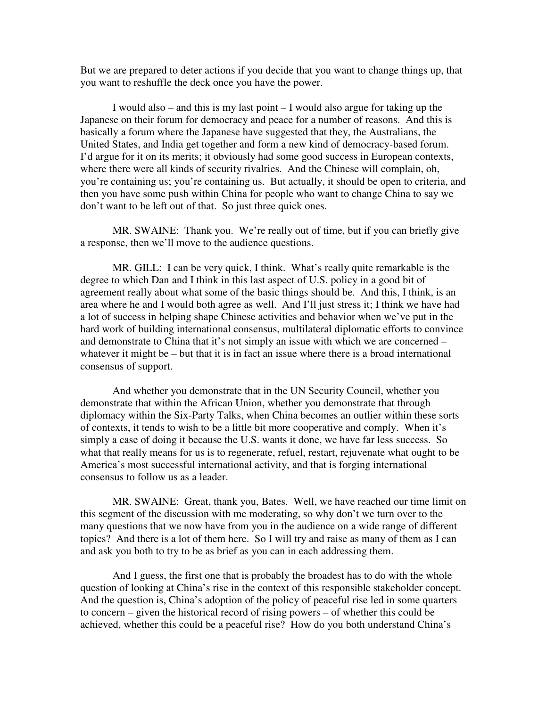But we are prepared to deter actions if you decide that you want to change things up, that you want to reshuffle the deck once you have the power.

I would also – and this is my last point – I would also argue for taking up the Japanese on their forum for democracy and peace for a number of reasons. And this is basically a forum where the Japanese have suggested that they, the Australians, the United States, and India get together and form a new kind of democracy-based forum. I'd argue for it on its merits; it obviously had some good success in European contexts, where there were all kinds of security rivalries. And the Chinese will complain, oh, you're containing us; you're containing us. But actually, it should be open to criteria, and then you have some push within China for people who want to change China to say we don't want to be left out of that. So just three quick ones.

MR. SWAINE: Thank you. We're really out of time, but if you can briefly give a response, then we'll move to the audience questions.

MR. GILL: I can be very quick, I think. What's really quite remarkable is the degree to which Dan and I think in this last aspect of U.S. policy in a good bit of agreement really about what some of the basic things should be. And this, I think, is an area where he and I would both agree as well. And I'll just stress it; I think we have had a lot of success in helping shape Chinese activities and behavior when we've put in the hard work of building international consensus, multilateral diplomatic efforts to convince and demonstrate to China that it's not simply an issue with which we are concerned – whatever it might be – but that it is in fact an issue where there is a broad international consensus of support.

And whether you demonstrate that in the UN Security Council, whether you demonstrate that within the African Union, whether you demonstrate that through diplomacy within the Six-Party Talks, when China becomes an outlier within these sorts of contexts, it tends to wish to be a little bit more cooperative and comply. When it's simply a case of doing it because the U.S. wants it done, we have far less success. So what that really means for us is to regenerate, refuel, restart, rejuvenate what ought to be America's most successful international activity, and that is forging international consensus to follow us as a leader.

MR. SWAINE: Great, thank you, Bates. Well, we have reached our time limit on this segment of the discussion with me moderating, so why don't we turn over to the many questions that we now have from you in the audience on a wide range of different topics? And there is a lot of them here. So I will try and raise as many of them as I can and ask you both to try to be as brief as you can in each addressing them.

And I guess, the first one that is probably the broadest has to do with the whole question of looking at China's rise in the context of this responsible stakeholder concept. And the question is, China's adoption of the policy of peaceful rise led in some quarters to concern – given the historical record of rising powers – of whether this could be achieved, whether this could be a peaceful rise? How do you both understand China's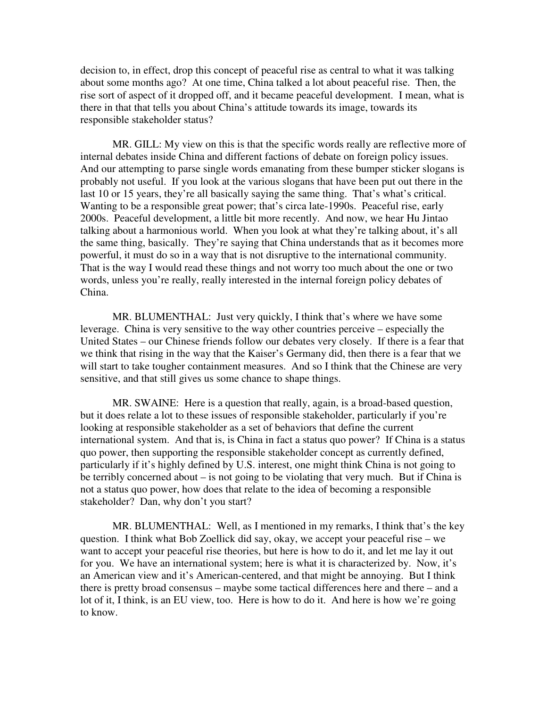decision to, in effect, drop this concept of peaceful rise as central to what it was talking about some months ago? At one time, China talked a lot about peaceful rise. Then, the rise sort of aspect of it dropped off, and it became peaceful development. I mean, what is there in that that tells you about China's attitude towards its image, towards its responsible stakeholder status?

MR. GILL: My view on this is that the specific words really are reflective more of internal debates inside China and different factions of debate on foreign policy issues. And our attempting to parse single words emanating from these bumper sticker slogans is probably not useful. If you look at the various slogans that have been put out there in the last 10 or 15 years, they're all basically saying the same thing. That's what's critical. Wanting to be a responsible great power; that's circa late-1990s. Peaceful rise, early 2000s. Peaceful development, a little bit more recently. And now, we hear Hu Jintao talking about a harmonious world. When you look at what they're talking about, it's all the same thing, basically. They're saying that China understands that as it becomes more powerful, it must do so in a way that is not disruptive to the international community. That is the way I would read these things and not worry too much about the one or two words, unless you're really, really interested in the internal foreign policy debates of China.

MR. BLUMENTHAL: Just very quickly, I think that's where we have some leverage. China is very sensitive to the way other countries perceive – especially the United States – our Chinese friends follow our debates very closely. If there is a fear that we think that rising in the way that the Kaiser's Germany did, then there is a fear that we will start to take tougher containment measures. And so I think that the Chinese are very sensitive, and that still gives us some chance to shape things.

MR. SWAINE: Here is a question that really, again, is a broad-based question, but it does relate a lot to these issues of responsible stakeholder, particularly if you're looking at responsible stakeholder as a set of behaviors that define the current international system. And that is, is China in fact a status quo power? If China is a status quo power, then supporting the responsible stakeholder concept as currently defined, particularly if it's highly defined by U.S. interest, one might think China is not going to be terribly concerned about – is not going to be violating that very much. But if China is not a status quo power, how does that relate to the idea of becoming a responsible stakeholder? Dan, why don't you start?

MR. BLUMENTHAL: Well, as I mentioned in my remarks, I think that's the key question. I think what Bob Zoellick did say, okay, we accept your peaceful rise – we want to accept your peaceful rise theories, but here is how to do it, and let me lay it out for you. We have an international system; here is what it is characterized by. Now, it's an American view and it's American-centered, and that might be annoying. But I think there is pretty broad consensus – maybe some tactical differences here and there – and a lot of it, I think, is an EU view, too. Here is how to do it. And here is how we're going to know.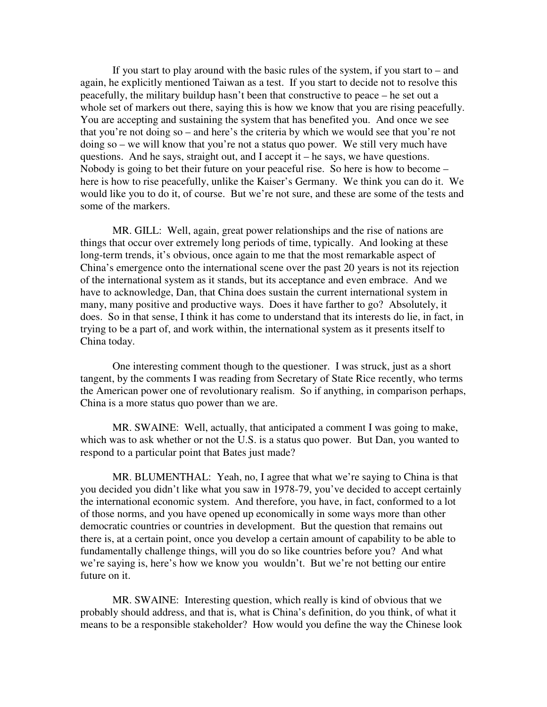If you start to play around with the basic rules of the system, if you start to  $-$  and again, he explicitly mentioned Taiwan as a test. If you start to decide not to resolve this peacefully, the military buildup hasn't been that constructive to peace – he set out a whole set of markers out there, saying this is how we know that you are rising peacefully. You are accepting and sustaining the system that has benefited you. And once we see that you're not doing so – and here's the criteria by which we would see that you're not doing so – we will know that you're not a status quo power. We still very much have questions. And he says, straight out, and I accept it – he says, we have questions. Nobody is going to bet their future on your peaceful rise. So here is how to become – here is how to rise peacefully, unlike the Kaiser's Germany. We think you can do it. We would like you to do it, of course. But we're not sure, and these are some of the tests and some of the markers.

MR. GILL: Well, again, great power relationships and the rise of nations are things that occur over extremely long periods of time, typically. And looking at these long-term trends, it's obvious, once again to me that the most remarkable aspect of China's emergence onto the international scene over the past 20 years is not its rejection of the international system as it stands, but its acceptance and even embrace. And we have to acknowledge, Dan, that China does sustain the current international system in many, many positive and productive ways. Does it have farther to go? Absolutely, it does. So in that sense, I think it has come to understand that its interests do lie, in fact, in trying to be a part of, and work within, the international system as it presents itself to China today.

One interesting comment though to the questioner. I was struck, just as a short tangent, by the comments I was reading from Secretary of State Rice recently, who terms the American power one of revolutionary realism. So if anything, in comparison perhaps, China is a more status quo power than we are.

MR. SWAINE: Well, actually, that anticipated a comment I was going to make, which was to ask whether or not the U.S. is a status quo power. But Dan, you wanted to respond to a particular point that Bates just made?

MR. BLUMENTHAL: Yeah, no, I agree that what we're saying to China is that you decided you didn't like what you saw in 1978-79, you've decided to accept certainly the international economic system. And therefore, you have, in fact, conformed to a lot of those norms, and you have opened up economically in some ways more than other democratic countries or countries in development. But the question that remains out there is, at a certain point, once you develop a certain amount of capability to be able to fundamentally challenge things, will you do so like countries before you? And what we're saying is, here's how we know you wouldn't. But we're not betting our entire future on it.

MR. SWAINE: Interesting question, which really is kind of obvious that we probably should address, and that is, what is China's definition, do you think, of what it means to be a responsible stakeholder? How would you define the way the Chinese look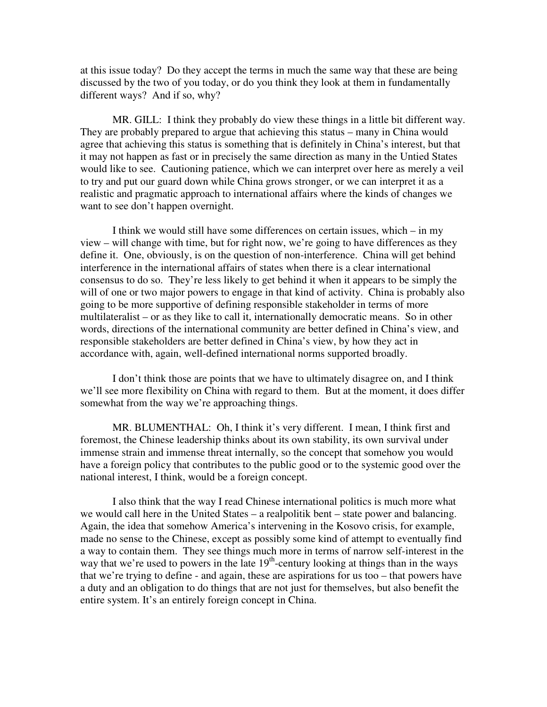at this issue today? Do they accept the terms in much the same way that these are being discussed by the two of you today, or do you think they look at them in fundamentally different ways? And if so, why?

MR. GILL: I think they probably do view these things in a little bit different way. They are probably prepared to argue that achieving this status – many in China would agree that achieving this status is something that is definitely in China's interest, but that it may not happen as fast or in precisely the same direction as many in the Untied States would like to see. Cautioning patience, which we can interpret over here as merely a veil to try and put our guard down while China grows stronger, or we can interpret it as a realistic and pragmatic approach to international affairs where the kinds of changes we want to see don't happen overnight.

I think we would still have some differences on certain issues, which – in my view – will change with time, but for right now, we're going to have differences as they define it. One, obviously, is on the question of non-interference. China will get behind interference in the international affairs of states when there is a clear international consensus to do so. They're less likely to get behind it when it appears to be simply the will of one or two major powers to engage in that kind of activity. China is probably also going to be more supportive of defining responsible stakeholder in terms of more multilateralist – or as they like to call it, internationally democratic means. So in other words, directions of the international community are better defined in China's view, and responsible stakeholders are better defined in China's view, by how they act in accordance with, again, well-defined international norms supported broadly.

I don't think those are points that we have to ultimately disagree on, and I think we'll see more flexibility on China with regard to them. But at the moment, it does differ somewhat from the way we're approaching things.

MR. BLUMENTHAL: Oh, I think it's very different. I mean, I think first and foremost, the Chinese leadership thinks about its own stability, its own survival under immense strain and immense threat internally, so the concept that somehow you would have a foreign policy that contributes to the public good or to the systemic good over the national interest, I think, would be a foreign concept.

I also think that the way I read Chinese international politics is much more what we would call here in the United States – a realpolitik bent – state power and balancing. Again, the idea that somehow America's intervening in the Kosovo crisis, for example, made no sense to the Chinese, except as possibly some kind of attempt to eventually find a way to contain them. They see things much more in terms of narrow self-interest in the way that we're used to powers in the late 19<sup>th</sup>-century looking at things than in the ways that we're trying to define - and again, these are aspirations for us too – that powers have a duty and an obligation to do things that are not just for themselves, but also benefit the entire system. It's an entirely foreign concept in China.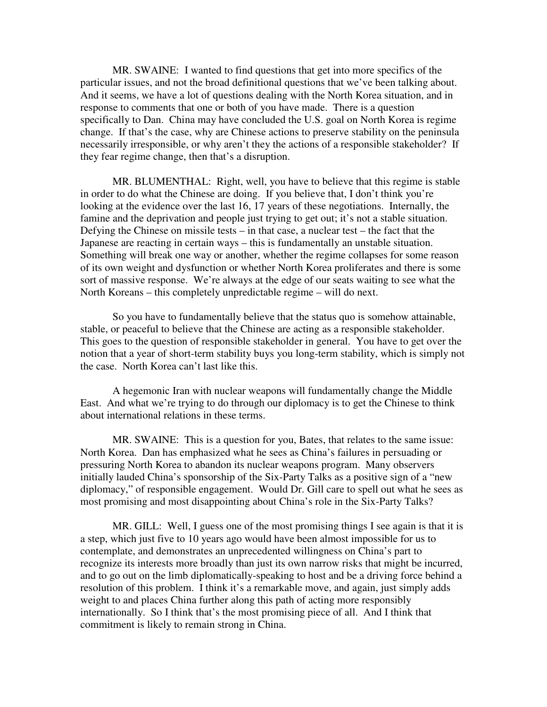MR. SWAINE: I wanted to find questions that get into more specifics of the particular issues, and not the broad definitional questions that we've been talking about. And it seems, we have a lot of questions dealing with the North Korea situation, and in response to comments that one or both of you have made. There is a question specifically to Dan. China may have concluded the U.S. goal on North Korea is regime change. If that's the case, why are Chinese actions to preserve stability on the peninsula necessarily irresponsible, or why aren't they the actions of a responsible stakeholder? If they fear regime change, then that's a disruption.

MR. BLUMENTHAL: Right, well, you have to believe that this regime is stable in order to do what the Chinese are doing. If you believe that, I don't think you're looking at the evidence over the last 16, 17 years of these negotiations. Internally, the famine and the deprivation and people just trying to get out; it's not a stable situation. Defying the Chinese on missile tests – in that case, a nuclear test – the fact that the Japanese are reacting in certain ways – this is fundamentally an unstable situation. Something will break one way or another, whether the regime collapses for some reason of its own weight and dysfunction or whether North Korea proliferates and there is some sort of massive response. We're always at the edge of our seats waiting to see what the North Koreans – this completely unpredictable regime – will do next.

So you have to fundamentally believe that the status quo is somehow attainable, stable, or peaceful to believe that the Chinese are acting as a responsible stakeholder. This goes to the question of responsible stakeholder in general. You have to get over the notion that a year of short-term stability buys you long-term stability, which is simply not the case. North Korea can't last like this.

A hegemonic Iran with nuclear weapons will fundamentally change the Middle East. And what we're trying to do through our diplomacy is to get the Chinese to think about international relations in these terms.

MR. SWAINE: This is a question for you, Bates, that relates to the same issue: North Korea. Dan has emphasized what he sees as China's failures in persuading or pressuring North Korea to abandon its nuclear weapons program. Many observers initially lauded China's sponsorship of the Six-Party Talks as a positive sign of a "new diplomacy," of responsible engagement. Would Dr. Gill care to spell out what he sees as most promising and most disappointing about China's role in the Six-Party Talks?

MR. GILL: Well, I guess one of the most promising things I see again is that it is a step, which just five to 10 years ago would have been almost impossible for us to contemplate, and demonstrates an unprecedented willingness on China's part to recognize its interests more broadly than just its own narrow risks that might be incurred, and to go out on the limb diplomatically-speaking to host and be a driving force behind a resolution of this problem. I think it's a remarkable move, and again, just simply adds weight to and places China further along this path of acting more responsibly internationally. So I think that's the most promising piece of all. And I think that commitment is likely to remain strong in China.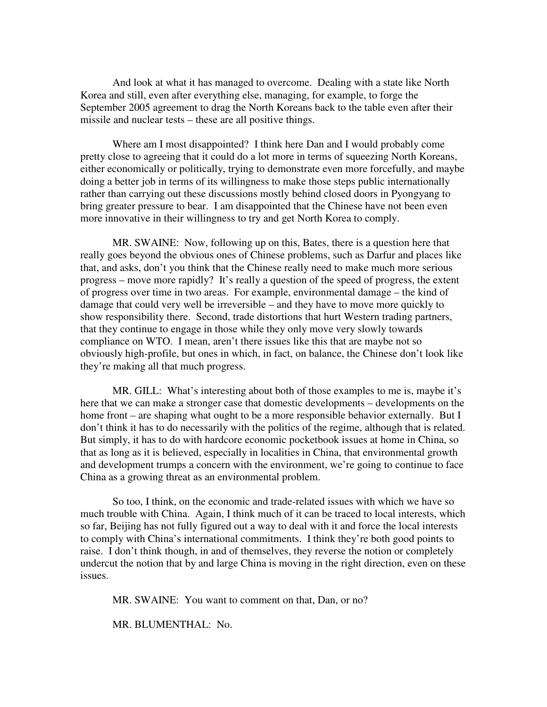And look at what it has managed to overcome. Dealing with a state like North Korea and still, even after everything else, managing, for example, to forge the September 2005 agreement to drag the North Koreans back to the table even after their missile and nuclear tests – these are all positive things.

Where am I most disappointed? I think here Dan and I would probably come pretty close to agreeing that it could do a lot more in terms of squeezing North Koreans, either economically or politically, trying to demonstrate even more forcefully, and maybe doing a better job in terms of its willingness to make those steps public internationally rather than carrying out these discussions mostly behind closed doors in Pyongyang to bring greater pressure to bear. I am disappointed that the Chinese have not been even more innovative in their willingness to try and get North Korea to comply.

MR. SWAINE: Now, following up on this, Bates, there is a question here that really goes beyond the obvious ones of Chinese problems, such as Darfur and places like that, and asks, don't you think that the Chinese really need to make much more serious progress – move more rapidly? It's really a question of the speed of progress, the extent of progress over time in two areas. For example, environmental damage – the kind of damage that could very well be irreversible – and they have to move more quickly to show responsibility there. Second, trade distortions that hurt Western trading partners, that they continue to engage in those while they only move very slowly towards compliance on WTO. I mean, aren't there issues like this that are maybe not so obviously high-profile, but ones in which, in fact, on balance, the Chinese don't look like they're making all that much progress.

MR. GILL: What's interesting about both of those examples to me is, maybe it's here that we can make a stronger case that domestic developments – developments on the home front – are shaping what ought to be a more responsible behavior externally. But I don't think it has to do necessarily with the politics of the regime, although that is related. But simply, it has to do with hardcore economic pocketbook issues at home in China, so that as long as it is believed, especially in localities in China, that environmental growth and development trumps a concern with the environment, we're going to continue to face China as a growing threat as an environmental problem.

So too, I think, on the economic and trade-related issues with which we have so much trouble with China. Again, I think much of it can be traced to local interests, which so far, Beijing has not fully figured out a way to deal with it and force the local interests to comply with China's international commitments. I think they're both good points to raise. I don't think though, in and of themselves, they reverse the notion or completely undercut the notion that by and large China is moving in the right direction, even on these issues.

MR. SWAINE: You want to comment on that, Dan, or no?

MR. BLUMENTHAL: No.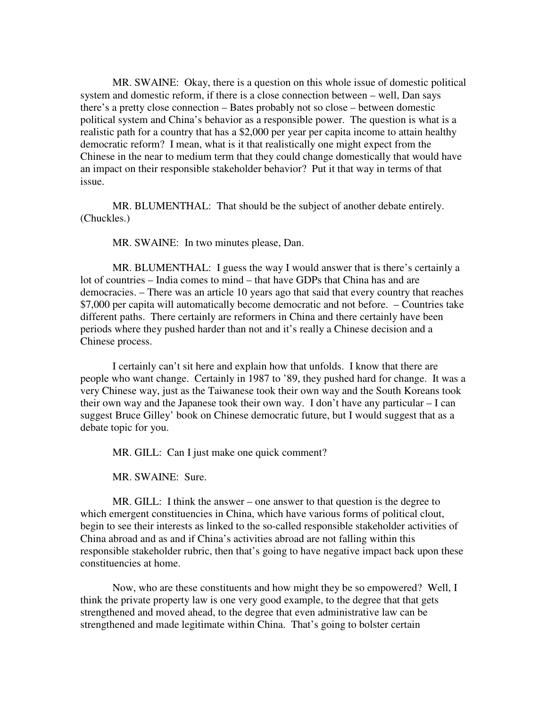MR. SWAINE: Okay, there is a question on this whole issue of domestic political system and domestic reform, if there is a close connection between – well, Dan says there's a pretty close connection – Bates probably not so close – between domestic political system and China's behavior as a responsible power. The question is what is a realistic path for a country that has a \$2,000 per year per capita income to attain healthy democratic reform? I mean, what is it that realistically one might expect from the Chinese in the near to medium term that they could change domestically that would have an impact on their responsible stakeholder behavior? Put it that way in terms of that issue.

MR. BLUMENTHAL: That should be the subject of another debate entirely. (Chuckles.)

MR. SWAINE: In two minutes please, Dan.

MR. BLUMENTHAL: I guess the way I would answer that is there's certainly a lot of countries – India comes to mind – that have GDPs that China has and are democracies. – There was an article 10 years ago that said that every country that reaches \$7,000 per capita will automatically become democratic and not before. – Countries take different paths. There certainly are reformers in China and there certainly have been periods where they pushed harder than not and it's really a Chinese decision and a Chinese process.

I certainly can't sit here and explain how that unfolds. I know that there are people who want change. Certainly in 1987 to '89, they pushed hard for change. It was a very Chinese way, just as the Taiwanese took their own way and the South Koreans took their own way and the Japanese took their own way. I don't have any particular – I can suggest Bruce Gilley' book on Chinese democratic future, but I would suggest that as a debate topic for you.

MR. GILL: Can I just make one quick comment?

MR. SWAINE: Sure.

MR. GILL: I think the answer – one answer to that question is the degree to which emergent constituencies in China, which have various forms of political clout, begin to see their interests as linked to the so-called responsible stakeholder activities of China abroad and as and if China's activities abroad are not falling within this responsible stakeholder rubric, then that's going to have negative impact back upon these constituencies at home.

Now, who are these constituents and how might they be so empowered? Well, I think the private property law is one very good example, to the degree that that gets strengthened and moved ahead, to the degree that even administrative law can be strengthened and made legitimate within China. That's going to bolster certain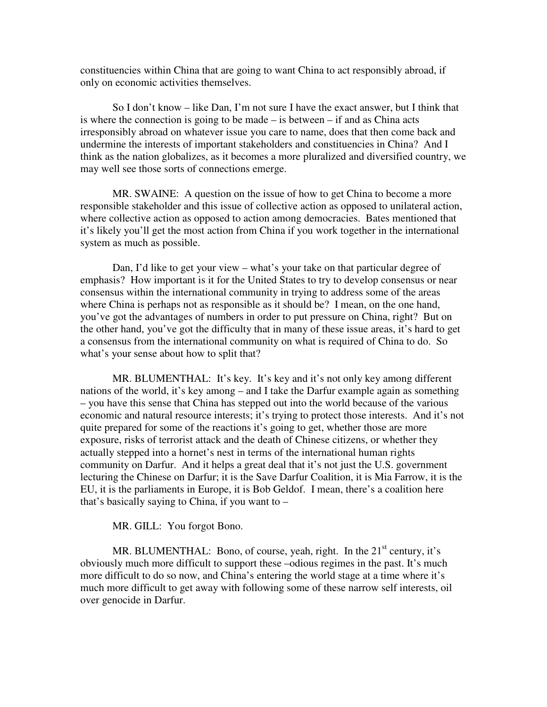constituencies within China that are going to want China to act responsibly abroad, if only on economic activities themselves.

So I don't know – like Dan, I'm not sure I have the exact answer, but I think that is where the connection is going to be made – is between – if and as China acts irresponsibly abroad on whatever issue you care to name, does that then come back and undermine the interests of important stakeholders and constituencies in China? And I think as the nation globalizes, as it becomes a more pluralized and diversified country, we may well see those sorts of connections emerge.

MR. SWAINE: A question on the issue of how to get China to become a more responsible stakeholder and this issue of collective action as opposed to unilateral action, where collective action as opposed to action among democracies. Bates mentioned that it's likely you'll get the most action from China if you work together in the international system as much as possible.

Dan, I'd like to get your view – what's your take on that particular degree of emphasis? How important is it for the United States to try to develop consensus or near consensus within the international community in trying to address some of the areas where China is perhaps not as responsible as it should be? I mean, on the one hand, you've got the advantages of numbers in order to put pressure on China, right? But on the other hand, you've got the difficulty that in many of these issue areas, it's hard to get a consensus from the international community on what is required of China to do. So what's your sense about how to split that?

MR. BLUMENTHAL: It's key. It's key and it's not only key among different nations of the world, it's key among – and I take the Darfur example again as something – you have this sense that China has stepped out into the world because of the various economic and natural resource interests; it's trying to protect those interests. And it's not quite prepared for some of the reactions it's going to get, whether those are more exposure, risks of terrorist attack and the death of Chinese citizens, or whether they actually stepped into a hornet's nest in terms of the international human rights community on Darfur. And it helps a great deal that it's not just the U.S. government lecturing the Chinese on Darfur; it is the Save Darfur Coalition, it is Mia Farrow, it is the EU, it is the parliaments in Europe, it is Bob Geldof. I mean, there's a coalition here that's basically saying to China, if you want to –

MR. GILL: You forgot Bono.

MR. BLUMENTHAL: Bono, of course, yeah, right. In the 21<sup>st</sup> century, it's obviously much more difficult to support these –odious regimes in the past. It's much more difficult to do so now, and China's entering the world stage at a time where it's much more difficult to get away with following some of these narrow self interests, oil over genocide in Darfur.